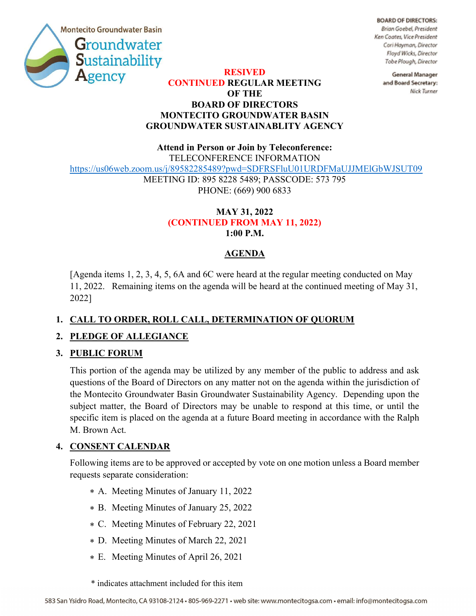

**BOARD OF DIRECTORS:** Brian Goebel, President Ken Coates, Vice President Cori Hayman, Director Floyd Wicks, Director Tobe Plough, Director

RESIVED

## CONTINUED REGULAR MEETING OF THE BOARD OF DIRECTORS MONTECITO GROUNDWATER BASIN GROUNDWATER SUSTAINABLITY AGENCY

**General Manager** and Board Secretary: Nick Turner

Attend in Person or Join by Teleconference: TELECONFERENCE INFORMATION https://us06web.zoom.us/j/89582285489?pwd=SDFRSFluU01URDFMaUJJMElGbWJSUT09 MEETING ID: 895 8228 5489; PASSCODE: 573 795 PHONE: (669) 900 6833

### MAY 31, 2022 (CONTINUED FROM MAY 11, 2022) 1:00 P.M.

# AGENDA

[Agenda items 1, 2, 3, 4, 5, 6A and 6C were heard at the regular meeting conducted on May 11, 2022. Remaining items on the agenda will be heard at the continued meeting of May 31, 2022]

## 1. CALL TO ORDER, ROLL CALL, DETERMINATION OF QUORUM

## 2. PLEDGE OF ALLEGIANCE

## 3. PUBLIC FORUM

This portion of the agenda may be utilized by any member of the public to address and ask questions of the Board of Directors on any matter not on the agenda within the jurisdiction of the Montecito Groundwater Basin Groundwater Sustainability Agency. Depending upon the subject matter, the Board of Directors may be unable to respond at this time, or until the specific item is placed on the agenda at a future Board meeting in accordance with the Ralph M. Brown Act.

## 4. CONSENT CALENDAR

Following items are to be approved or accepted by vote on one motion unless a Board member requests separate consideration:

- A. Meeting Minutes of January 11, 2022 \*
- B. Meeting Minutes of January 25, 2022 \*
- C. Meeting Minutes of February 22, 2021 \*
- D. Meeting Minutes of March 22, 2021 \*
- E. Meeting Minutes of April 26, 2021 \*
- \* indicates attachment included for this item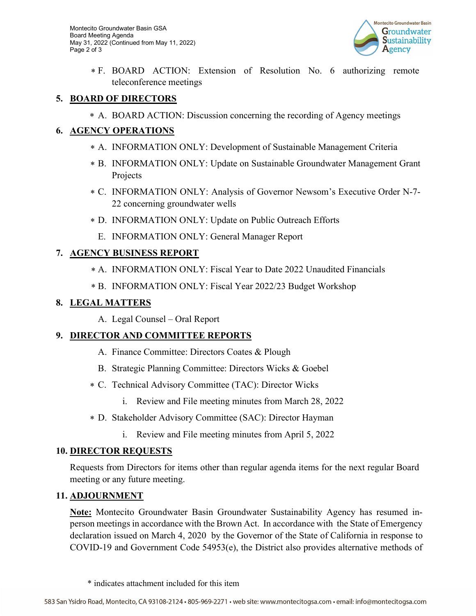Montecito Groundwater Basin GSA Board Meeting Agenda May 31, 2022 (Continued from May 11, 2022) Page 2 of 3



F. BOARD ACTION: Extension of Resolution No. 6 authorizing remote \* teleconference meetings

#### 5. BOARD OF DIRECTORS

A. BOARD ACTION: Discussion concerning the recording of Agency meetings \*

## 6. AGENCY OPERATIONS

- A. INFORMATION ONLY: Development of Sustainable Management Criteria \*
- B. INFORMATION ONLY: Update on Sustainable Groundwater Management Grant \* Projects
- C. INFORMATION ONLY: Analysis of Governor Newsom's Executive Order N-7- \* 22 concerning groundwater wells
- D. INFORMATION ONLY: Update on Public Outreach Efforts \*
	- E. INFORMATION ONLY: General Manager Report

## 7. AGENCY BUSINESS REPORT

- A. INFORMATION ONLY: Fiscal Year to Date 2022 Unaudited Financials \*
- B. INFORMATION ONLY: Fiscal Year 2022/23 Budget Workshop \*

### 8. LEGAL MATTERS

A. Legal Counsel – Oral Report

## 9. DIRECTOR AND COMMITTEE REPORTS

- A. Finance Committee: Directors Coates & Plough
- B. Strategic Planning Committee: Directors Wicks & Goebel
- C. Technical Advisory Committee (TAC): Director Wicks \*
	- i. Review and File meeting minutes from March 28, 2022
- D. Stakeholder Advisory Committee (SAC): Director Hayman \*
	- i. Review and File meeting minutes from April 5, 2022

### 10. DIRECTOR REQUESTS

Requests from Directors for items other than regular agenda items for the next regular Board meeting or any future meeting.

### 11. ADJOURNMENT

**Note:** Montecito Groundwater Basin Groundwater Sustainability Agency has resumed inperson meetings in accordance with the Brown Act. In accordance with the State of Emergency declaration issued on March 4, 2020 by the Governor of the State of California in response to COVID-19 and Government Code 54953(e), the District also provides alternative methods of

<sup>\*</sup> indicates attachment included for this item